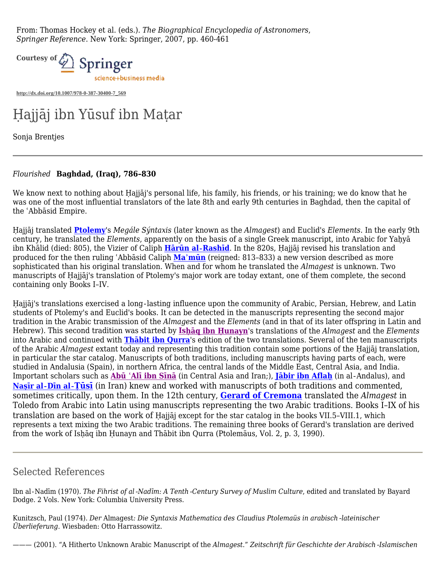From: Thomas Hockey et al. (eds.). *The Biographical Encyclopedia of Astronomers*, *Springer Reference*. New York: Springer, 2007, pp. 460-461



**http://dx.doi.org/10.1007/978-0-387-30400-7\_569**

## Ḥajjāj ibn Yūsuf ibn Maṭar

Sonja Brentjes

## *Flourished* **Baghdad, (Iraq), 786–830**

We know next to nothing about Hajjāj's personal life, his family, his friends, or his training; we do know that he was one of the most influential translators of the late 8th and early 9th centuries in Baghdad, then the capital of the ʿAbbāsid Empire.

Ḥajjāj translated **Ptolemy**'s *Megále Sýntaxis* (later known as the *Almagest*) and Euclid's *Elements*. In the early 9th century, he translated the *Elements*, apparently on the basis of a single Greek manuscript, into Arabic for Yahyā ibn Khālid (died: 805), the Vizier of Caliph **Hārūn al**‐**Rashīd**. In the 820s, Ḥajjāj revised his translation and produced for the then ruling ʿAbbāsid Caliph **Maʾmūn** (reigned: 813–833) a new version described as more sophisticated than his original translation. When and for whom he translated the *Almagest* is unknown. Two manuscripts of Ḥajjāj's translation of Ptolemy's major work are today extant, one of them complete, the second containing only Books I–IV.

Hajjāj's translations exercised a long-lasting influence upon the community of Arabic, Persian, Hebrew, and Latin students of Ptolemy's and Euclid's books. It can be detected in the manuscripts representing the second major tradition in the Arabic transmission of the *Almagest* and the *Elements* (and in that of its later offspring in Latin and Hebrew). This second tradition was started by **Isḥāq ibn Ḥunayn**'s translations of the *Almagest* and the *Elements* into Arabic and continued with **Thābit ibn Qurra**'s edition of the two translations. Several of the ten manuscripts of the Arabic *Almagest* extant today and representing this tradition contain some portions of the Ḥajjāj translation, in particular the star catalog. Manuscripts of both traditions, including manuscripts having parts of each, were studied in Andalusia (Spain), in northern Africa, the central lands of the Middle East, Central Asia, and India. Important scholars such as **Abū ʿAlī ibn Sīnā** (in Central Asia and Iran;), **Jābir ibn Aflaḥ** (in al‐Andalus), and **Naṣīr al**‐**Dīn al**‐**Ṭūsī** (in Iran) knew and worked with manuscripts of both traditions and commented, sometimes critically, upon them. In the 12th century, **Gerard of Cremona** translated the *Almagest* in Toledo from Arabic into Latin using manuscripts representing the two Arabic traditions. Books I–IX of his translation are based on the work of Ḥajjāj except for the star catalog in the books VII.5–VIII.1, which represents a text mixing the two Arabic traditions. The remaining three books of Gerard's translation are derived from the work of Ishāq ibn Hunayn and Thābit ibn Qurra (Ptolemäus, Vol. 2, p. 3, 1990).

## Selected References

Ibn al‐Nadīm (1970). *The Fihrist of al*‐*Nadīm: A Tenth*‐*Century Survey of Muslim Culture*, edited and translated by Bayard Dodge. 2 Vols. New York: Columbia University Press.

Kunitzsch, Paul (1974). *Der* Almagest*: Die Syntaxis Mathematica des Claudius Ptolemaüs in arabisch*‐*lateinischer Überlieferung*. Wiesbaden: Otto Harrassowitz.

——— (2001). "A Hitherto Unknown Arabic Manuscript of the *Almagest*." *Zeitschrift für Geschichte der Arabisch*‐*Islamischen*